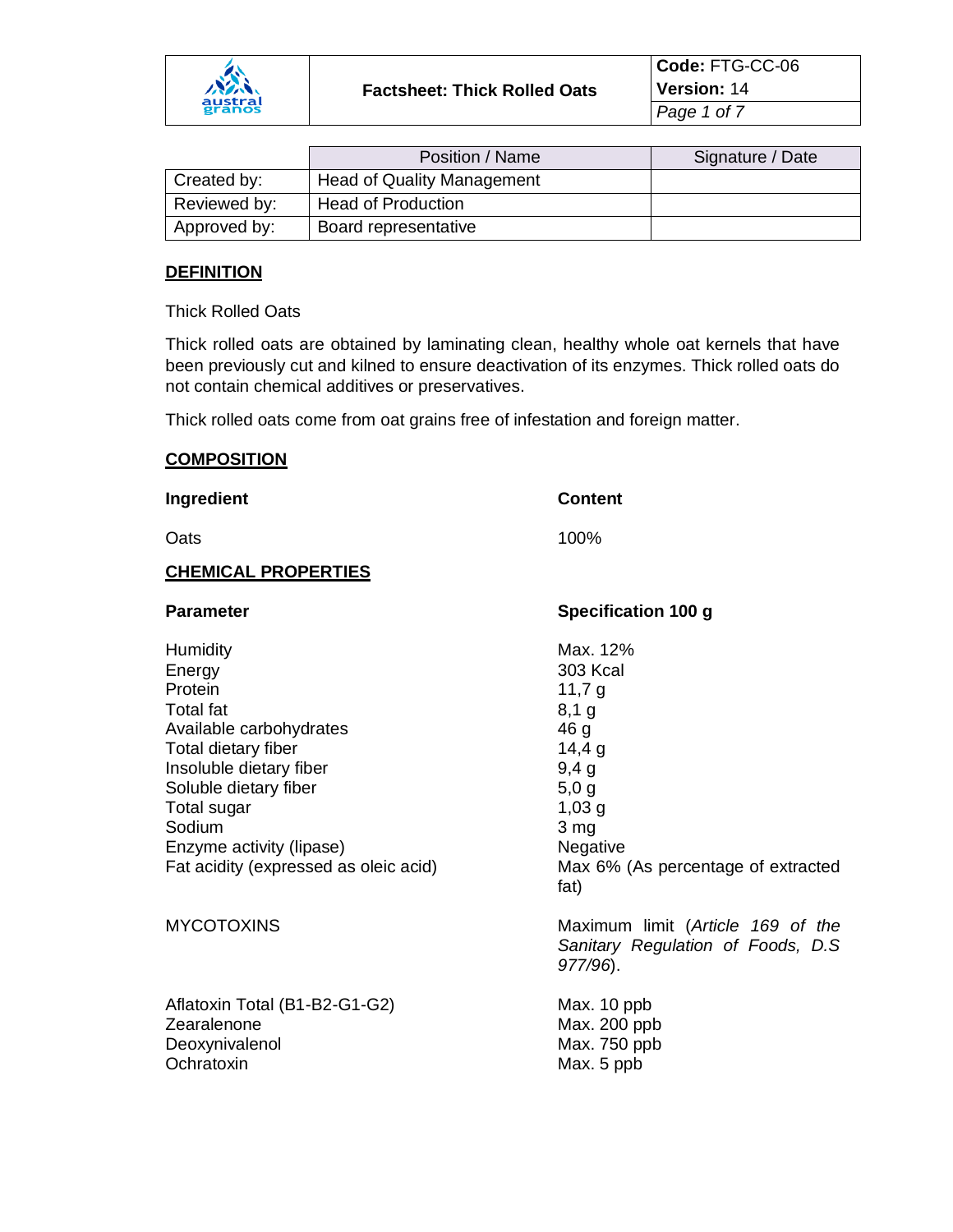

|              | Position / Name                   | Signature / Date |
|--------------|-----------------------------------|------------------|
| Created by:  | <b>Head of Quality Management</b> |                  |
| Reviewed by: | <b>Head of Production</b>         |                  |
| Approved by: | Board representative              |                  |

### **DEFINITION**

Thick Rolled Oats

Thick rolled oats are obtained by laminating clean, healthy whole oat kernels that have been previously cut and kilned to ensure deactivation of its enzymes. Thick rolled oats do not contain chemical additives or preservatives.

Thick rolled oats come from oat grains free of infestation and foreign matter.

## **COMPOSITION**

| 100%                                                                                                                                                                        |
|-----------------------------------------------------------------------------------------------------------------------------------------------------------------------------|
|                                                                                                                                                                             |
|                                                                                                                                                                             |
| Specification 100 g                                                                                                                                                         |
| Max. 12%<br><b>303 Kcal</b><br>11,7 $g$<br>$8,1$ g<br>46 <sub>g</sub><br>14,4g<br>9,4g<br>5,0,9<br>1,03,9<br>3 mg<br>Negative<br>Max 6% (As percentage of extracted<br>fat) |
| Maximum limit (Article 169 of the<br>Sanitary Regulation of Foods, D.S.<br>977/96).                                                                                         |
| Max. 10 ppb<br>Max. 200 ppb<br>Max. 750 ppb<br>Max. 5 ppb                                                                                                                   |
|                                                                                                                                                                             |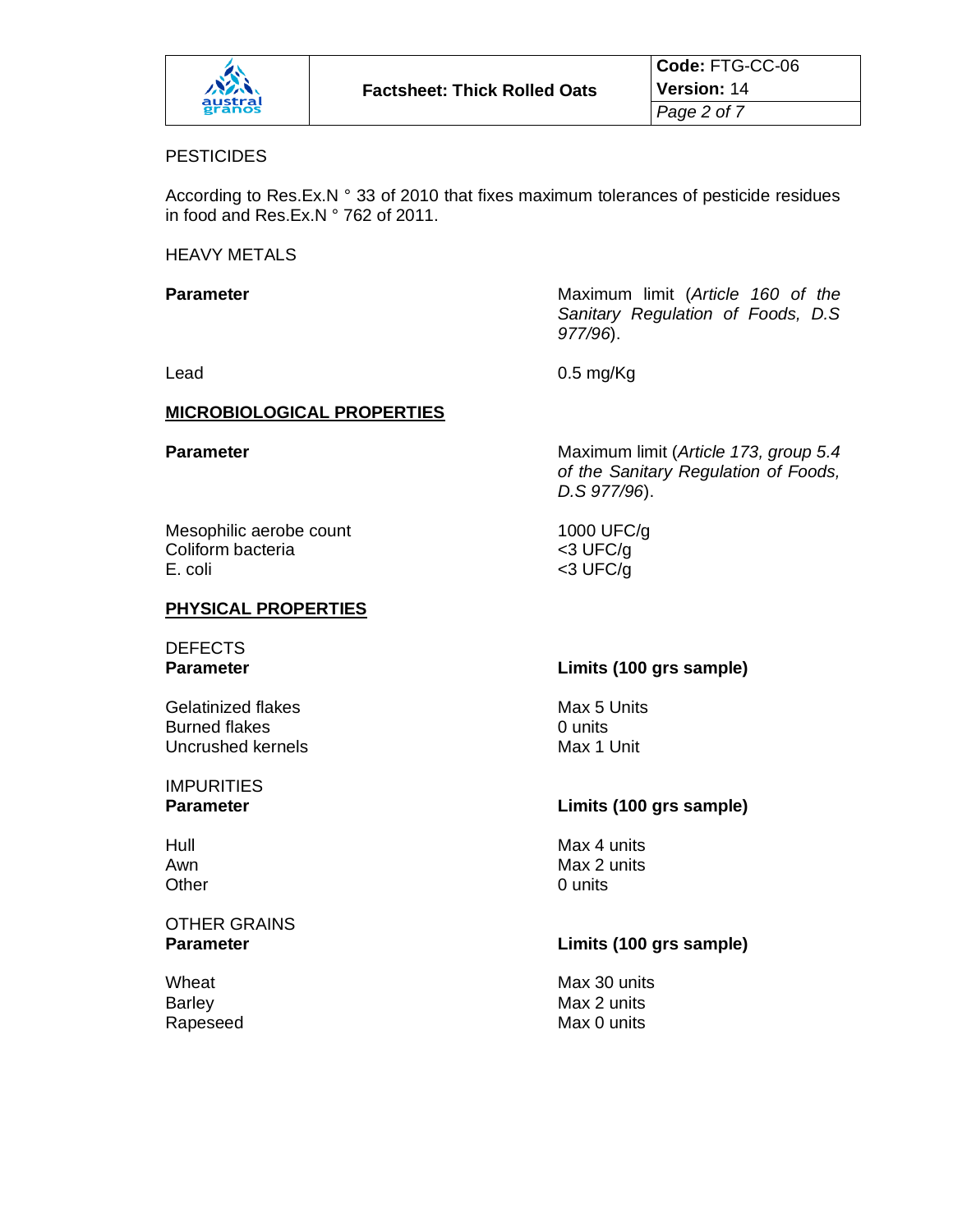

#### **PESTICIDES**

According to Res.Ex.N ° 33 of 2010 that fixes maximum tolerances of pesticide residues in food and Res.Ex.N ° 762 of 2011.

HEAVY METALS

**Parameter Parameter Maximum limit (Article 160 of the Parameter** *Sanitary Regulation of Foods, D.S 977/96*).

Lead 0.5 mg/Kg

#### **MICROBIOLOGICAL PROPERTIES**

**Parameter** Maximum limit (*Article 173, group 5.4 of the Sanitary Regulation of Foods, D.S 977/96*).

| Mesophilic aerobe count |
|-------------------------|
| Coliform bacteria       |
| E. coli                 |

#### **PHYSICAL PROPERTIES**

# DEFECTS

Gelatinized flakes Max 5 Units Burned flakes 6 and 10 units of the Dunits of the Units of the Unit of the Unit of the Unit of the Unit of the Unit of the Unit of the Unit of the Unit of the Unit of the Unit of the Unit of the Unit of the Unit of the Uni Uncrushed kernels

**IMPURITIES** 

# **OTHER GRAINS**<br>**Parameter**

1000 UFC/ $g$  $<$ 3 UFC/g  $<$ 3 UFC/g

# **Parameter Limits (100 grs sample)**

#### **Parameter Limits (100 grs sample)**

Hull Max 4 units Awn Max 2 units Other 0 units

#### **Parameter Limits (100 grs sample)**

Wheat Wheat **Max 30** units Barley **Max 2 units** Rapeseed Max 0 units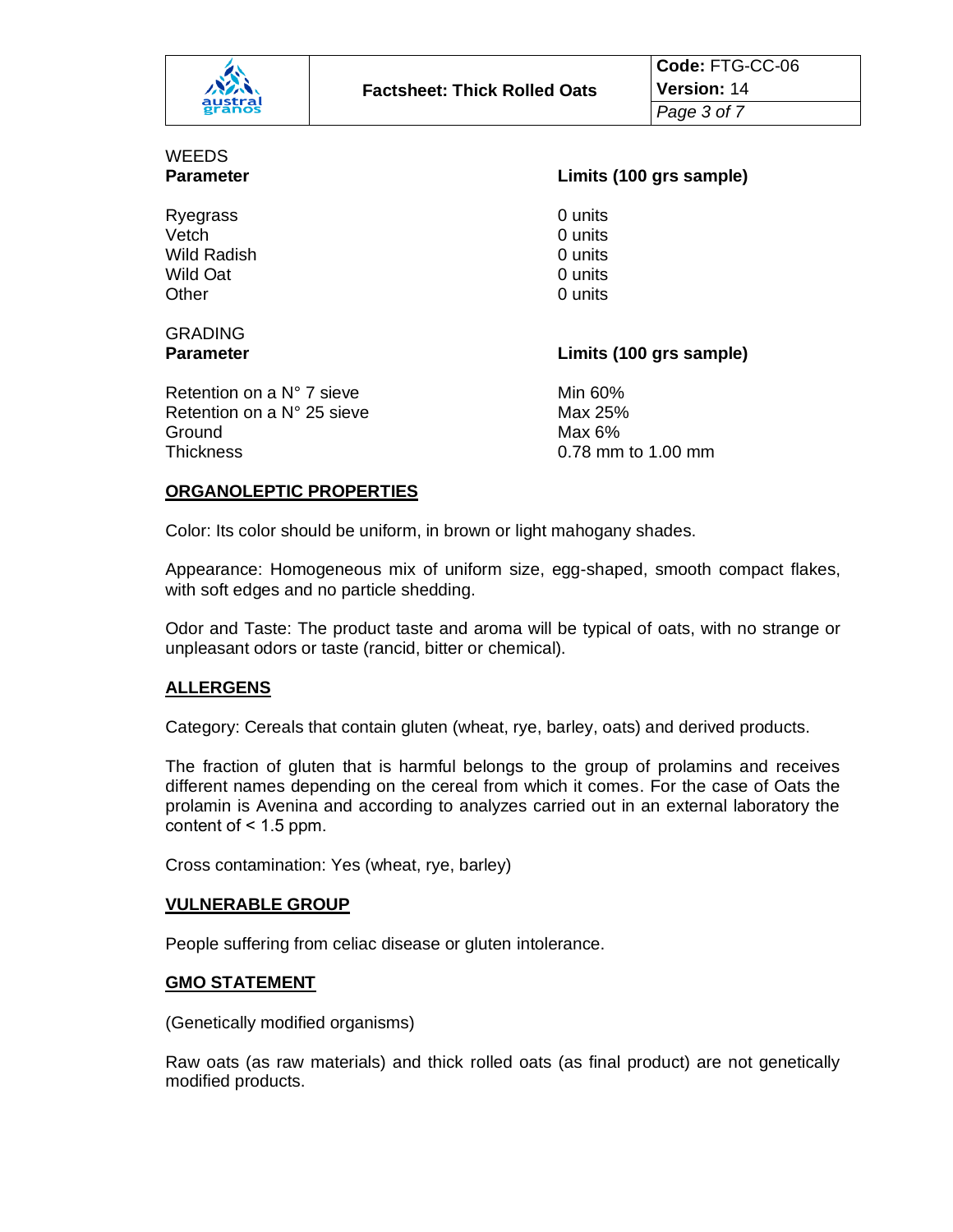|               | Code: FTG-CC-06                     |                    |
|---------------|-------------------------------------|--------------------|
| パネ<br>austral | <b>Factsheet: Thick Rolled Oats</b> | <b>Version: 14</b> |
| granos        |                                     | Page 3 of 7        |

# WEEDS

Ryegrass 0 units Vetch 0 units Wild Radish 0 units Wild Oat 0 units Other 0 units

#### **Parameter Limits (100 grs sample)**

# GRADING

**Parameter Limits (100 grs sample)**

Retention on a  $N^{\circ}$  7 sieve Min 60% Retention on a  $N^{\circ}$  25 sieve Max 25% Ground Max 6% Thickness 0.78 mm to 1.00 mm

## **ORGANOLEPTIC PROPERTIES**

Color: Its color should be uniform, in brown or light mahogany shades.

Appearance: Homogeneous mix of uniform size, egg-shaped, smooth compact flakes, with soft edges and no particle shedding.

Odor and Taste: The product taste and aroma will be typical of oats, with no strange or unpleasant odors or taste (rancid, bitter or chemical).

#### **ALLERGENS**

Category: Cereals that contain gluten (wheat, rye, barley, oats) and derived products.

The fraction of gluten that is harmful belongs to the group of prolamins and receives different names depending on the cereal from which it comes. For the case of Oats the prolamin is Avenina and according to analyzes carried out in an external laboratory the content of  $< 1.5$  ppm.

Cross contamination: Yes (wheat, rye, barley)

#### **VULNERABLE GROUP**

People suffering from celiac disease or gluten intolerance.

#### **GMO STATEMENT**

(Genetically modified organisms)

Raw oats (as raw materials) and thick rolled oats (as final product) are not genetically modified products.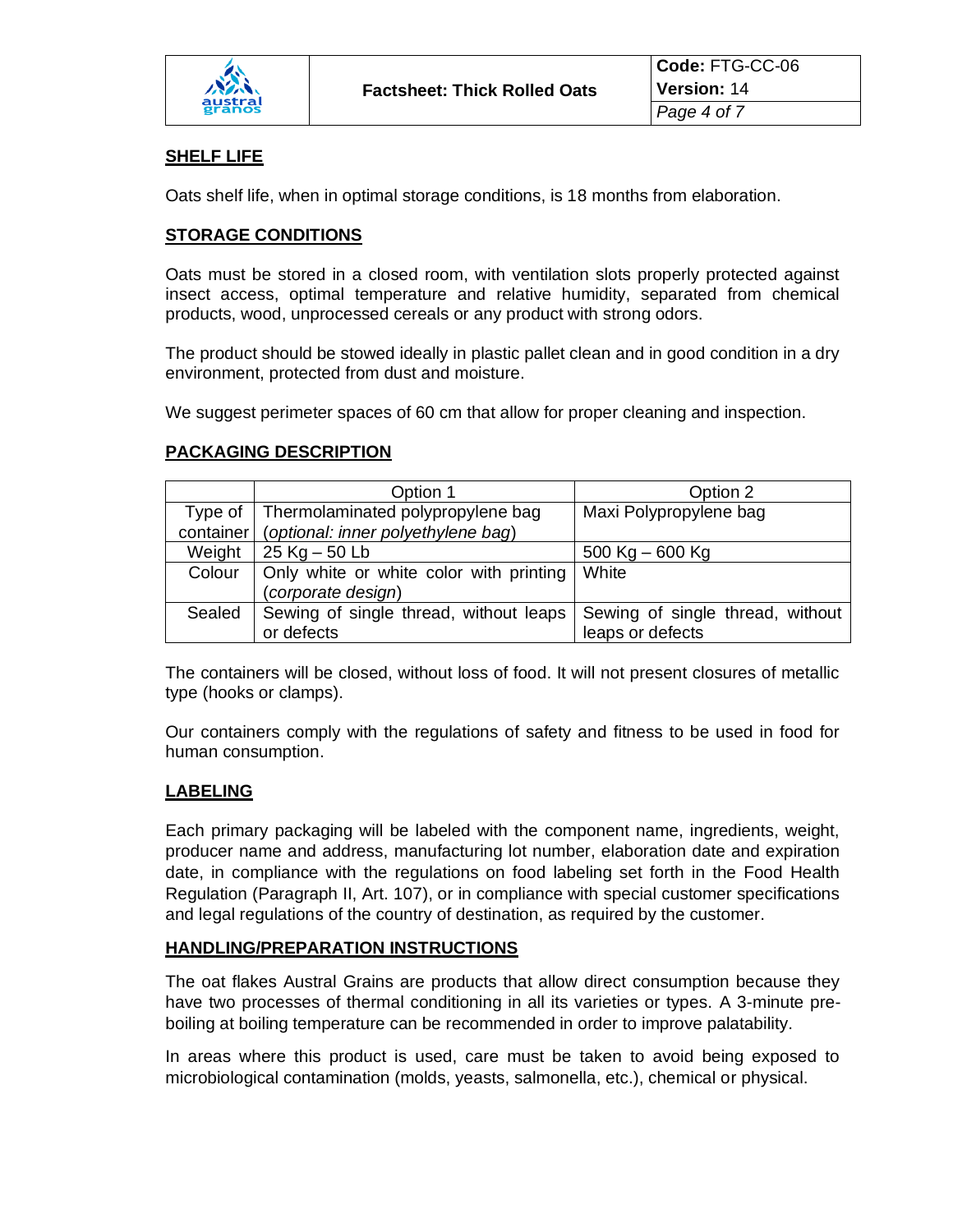

### **SHELF LIFE**

Oats shelf life, when in optimal storage conditions, is 18 months from elaboration.

#### **STORAGE CONDITIONS**

Oats must be stored in a closed room, with ventilation slots properly protected against insect access, optimal temperature and relative humidity, separated from chemical products, wood, unprocessed cereals or any product with strong odors.

The product should be stowed ideally in plastic pallet clean and in good condition in a dry environment, protected from dust and moisture.

We suggest perimeter spaces of 60 cm that allow for proper cleaning and inspection.

#### **PACKAGING DESCRIPTION**

|           | Option 1                                | Option 2                         |
|-----------|-----------------------------------------|----------------------------------|
| Type of   | Thermolaminated polypropylene bag       | Maxi Polypropylene bag           |
| container | (optional: inner polyethylene bag)      |                                  |
| Weight    | $25$ Kg $-50$ Lb                        | $500$ Kg $-600$ Kg               |
| Colour    | Only white or white color with printing | White                            |
|           | (corporate design)                      |                                  |
| Sealed    | Sewing of single thread, without leaps  | Sewing of single thread, without |
|           | or defects                              | leaps or defects                 |

The containers will be closed, without loss of food. It will not present closures of metallic type (hooks or clamps).

Our containers comply with the regulations of safety and fitness to be used in food for human consumption.

#### **LABELING**

Each primary packaging will be labeled with the component name, ingredients, weight, producer name and address, manufacturing lot number, elaboration date and expiration date, in compliance with the regulations on food labeling set forth in the Food Health Regulation (Paragraph II, Art. 107), or in compliance with special customer specifications and legal regulations of the country of destination, as required by the customer.

#### **HANDLING/PREPARATION INSTRUCTIONS**

The oat flakes Austral Grains are products that allow direct consumption because they have two processes of thermal conditioning in all its varieties or types. A 3-minute preboiling at boiling temperature can be recommended in order to improve palatability.

In areas where this product is used, care must be taken to avoid being exposed to microbiological contamination (molds, yeasts, salmonella, etc.), chemical or physical.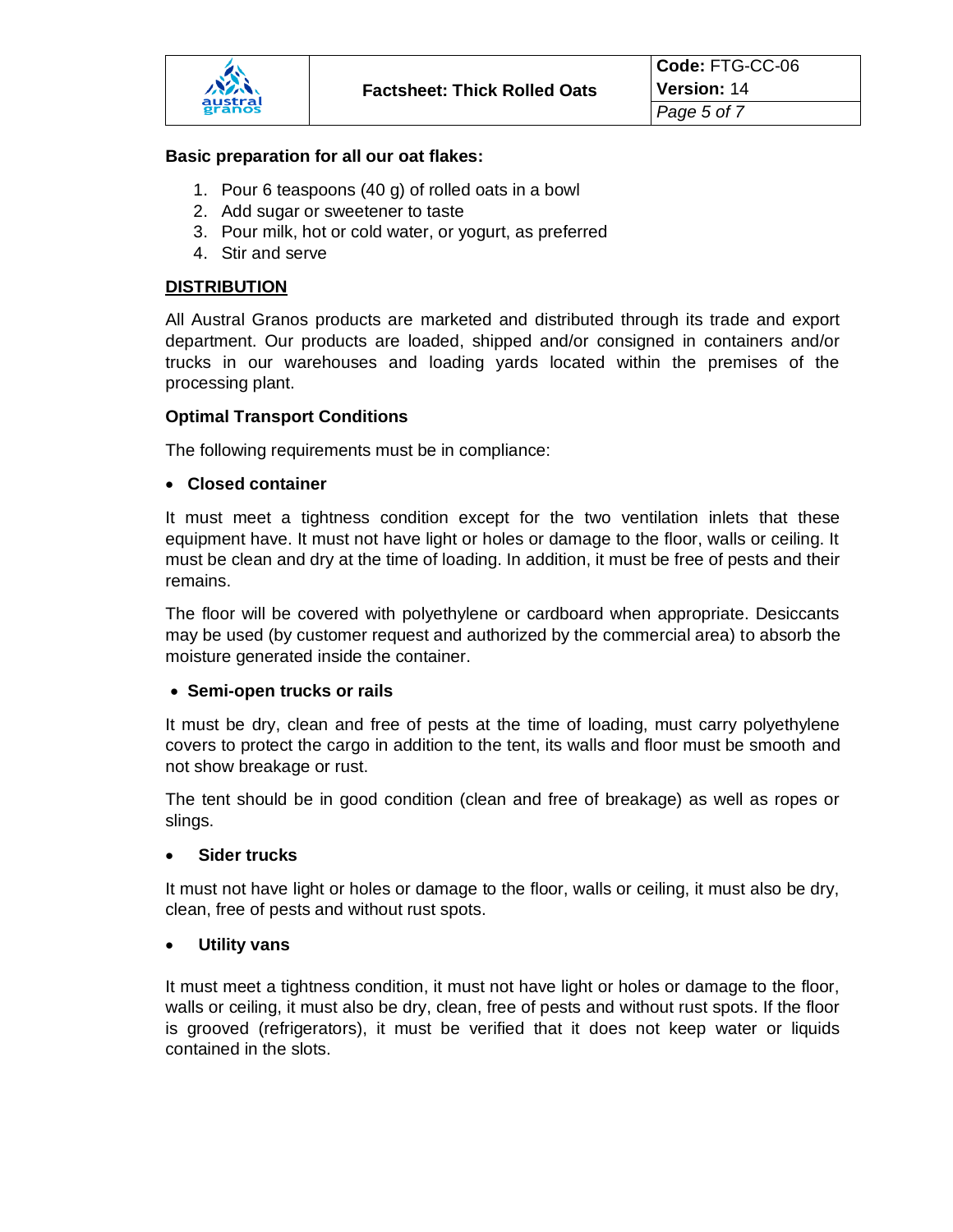#### **Basic preparation for all our oat flakes:**

- 1. Pour 6 teaspoons (40 g) of rolled oats in a bowl
- 2. Add sugar or sweetener to taste
- 3. Pour milk, hot or cold water, or yogurt, as preferred
- 4. Stir and serve

### **DISTRIBUTION**

All Austral Granos products are marketed and distributed through its trade and export department. Our products are loaded, shipped and/or consigned in containers and/or trucks in our warehouses and loading yards located within the premises of the processing plant.

#### **Optimal Transport Conditions**

The following requirements must be in compliance:

#### • **Closed container**

It must meet a tightness condition except for the two ventilation inlets that these equipment have. It must not have light or holes or damage to the floor, walls or ceiling. It must be clean and dry at the time of loading. In addition, it must be free of pests and their remains.

The floor will be covered with polyethylene or cardboard when appropriate. Desiccants may be used (by customer request and authorized by the commercial area) to absorb the moisture generated inside the container.

#### • **Semi-open trucks or rails**

It must be dry, clean and free of pests at the time of loading, must carry polyethylene covers to protect the cargo in addition to the tent, its walls and floor must be smooth and not show breakage or rust.

The tent should be in good condition (clean and free of breakage) as well as ropes or slings.

#### • **Sider trucks**

It must not have light or holes or damage to the floor, walls or ceiling, it must also be dry, clean, free of pests and without rust spots.

#### • **Utility vans**

It must meet a tightness condition, it must not have light or holes or damage to the floor, walls or ceiling, it must also be dry, clean, free of pests and without rust spots. If the floor is grooved (refrigerators), it must be verified that it does not keep water or liquids contained in the slots.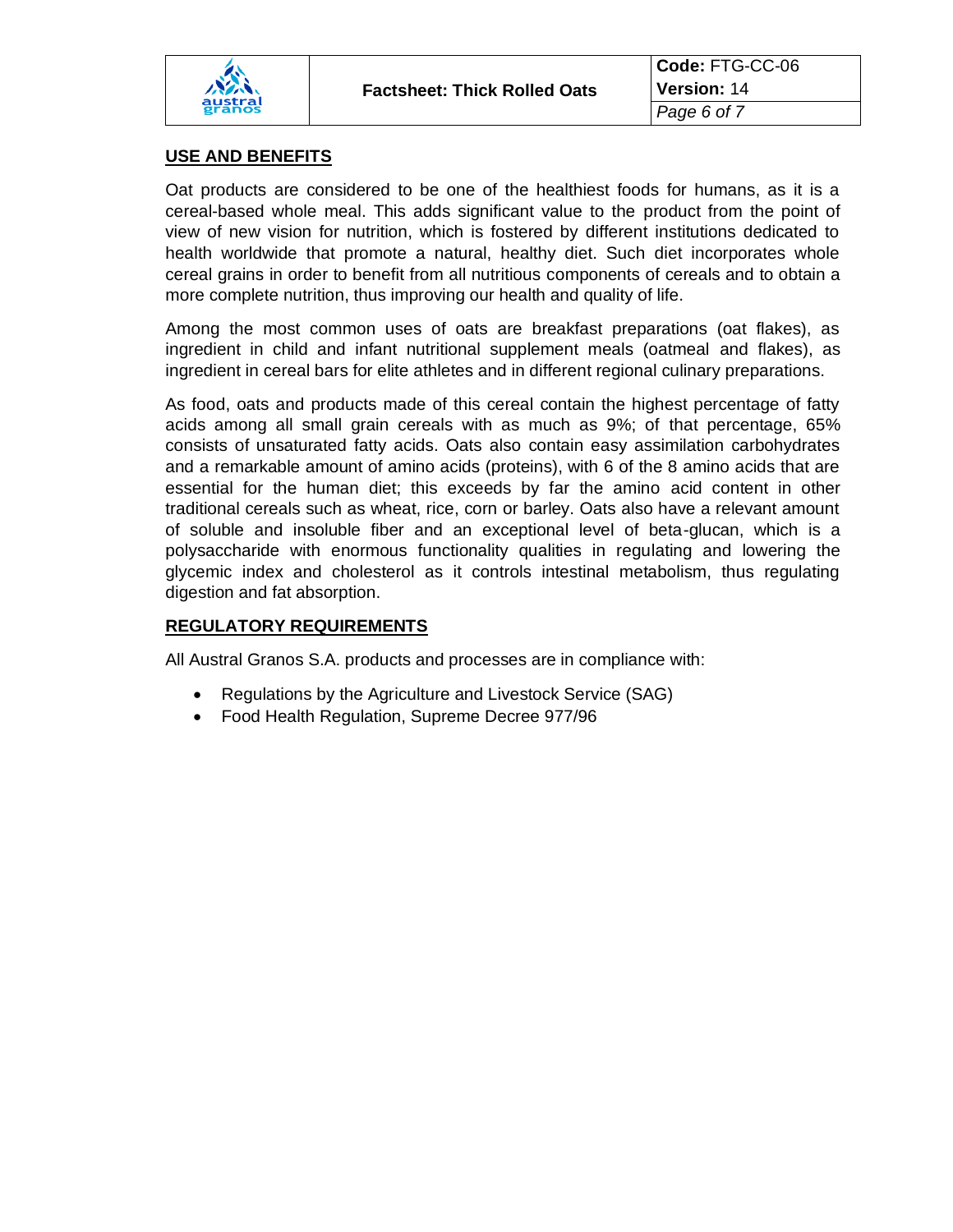

### **USE AND BENEFITS**

Oat products are considered to be one of the healthiest foods for humans, as it is a cereal-based whole meal. This adds significant value to the product from the point of view of new vision for nutrition, which is fostered by different institutions dedicated to health worldwide that promote a natural, healthy diet. Such diet incorporates whole cereal grains in order to benefit from all nutritious components of cereals and to obtain a more complete nutrition, thus improving our health and quality of life.

Among the most common uses of oats are breakfast preparations (oat flakes), as ingredient in child and infant nutritional supplement meals (oatmeal and flakes), as ingredient in cereal bars for elite athletes and in different regional culinary preparations.

As food, oats and products made of this cereal contain the highest percentage of fatty acids among all small grain cereals with as much as 9%; of that percentage, 65% consists of unsaturated fatty acids. Oats also contain easy assimilation carbohydrates and a remarkable amount of amino acids (proteins), with 6 of the 8 amino acids that are essential for the human diet; this exceeds by far the amino acid content in other traditional cereals such as wheat, rice, corn or barley. Oats also have a relevant amount of soluble and insoluble fiber and an exceptional level of beta-glucan, which is a polysaccharide with enormous functionality qualities in regulating and lowering the glycemic index and cholesterol as it controls intestinal metabolism, thus regulating digestion and fat absorption.

# **REGULATORY REQUIREMENTS**

All Austral Granos S.A. products and processes are in compliance with:

- Regulations by the Agriculture and Livestock Service (SAG)
- Food Health Regulation, Supreme Decree 977/96